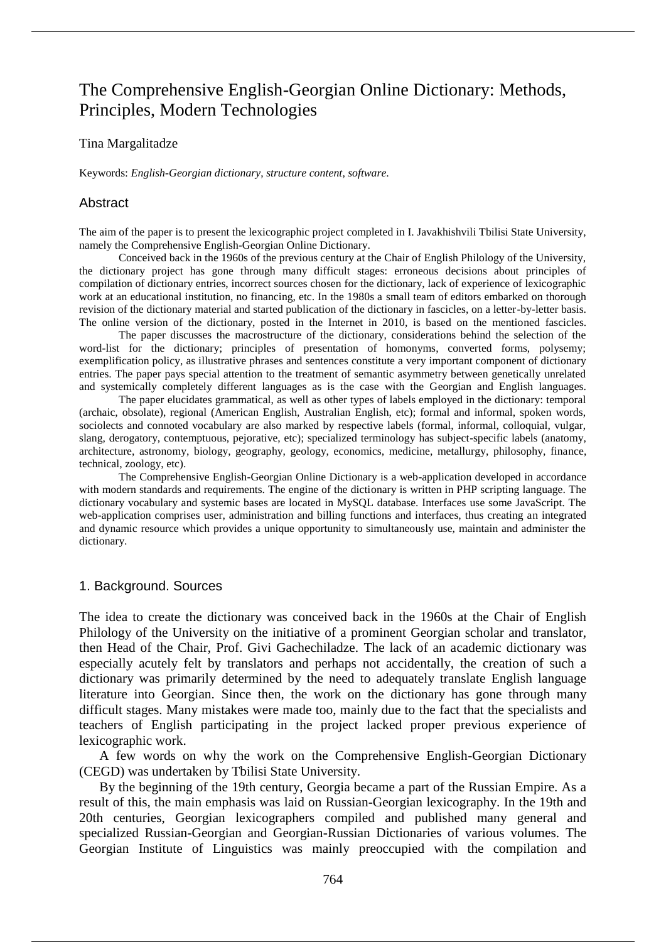# The Comprehensive English-Georgian Online Dictionary: Methods, Principles, Modern Technologies

#### Tina Margalitadze

Keywords: *English-Georgian dictionary*, *structure content*, *software*.

# Abstract

The aim of the paper is to present the lexicographic project completed in I. Javakhishvili Tbilisi State University, namely the Comprehensive English-Georgian Online Dictionary.

Conceived back in the 1960s of the previous century at the Chair of English Philology of the University, the dictionary project has gone through many difficult stages: erroneous decisions about principles of compilation of dictionary entries, incorrect sources chosen for the dictionary, lack of experience of lexicographic work at an educational institution, no financing, etc. In the 1980s a small team of editors embarked on thorough revision of the dictionary material and started publication of the dictionary in fascicles, on a letter-by-letter basis. The online version of the dictionary, posted in the Internet in 2010, is based on the mentioned fascicles.

The paper discusses the macrostructure of the dictionary, considerations behind the selection of the word-list for the dictionary; principles of presentation of homonyms, converted forms, polysemy; exemplification policy, as illustrative phrases and sentences constitute a very important component of dictionary entries. The paper pays special attention to the treatment of semantic asymmetry between genetically unrelated and systemically completely different languages as is the case with the Georgian and English languages.

The paper elucidates grammatical, as well as other types of labels employed in the dictionary: temporal (archaic, obsolate), regional (American English, Australian English, etc); formal and informal, spoken words, sociolects and connoted vocabulary are also marked by respective labels (formal, informal, colloquial, vulgar, slang, derogatory, contemptuous, pejorative, etc); specialized terminology has subject-specific labels (anatomy, architecture, astronomy, biology, geography, geology, economics, medicine, metallurgy, philosophy, finance, technical, zoology, etc).

The Comprehensive English-Georgian Online Dictionary is a web-application developed in accordance with modern standards and requirements. The engine of the dictionary is written in PHP scripting language. The dictionary vocabulary and systemic bases are located in MySQL database. Interfaces use some JavaScript. The web-application comprises user, administration and billing functions and interfaces, thus creating an integrated and dynamic resource which provides a unique opportunity to simultaneously use, maintain and administer the dictionary.

# 1. Background. Sources

The idea to create the dictionary was conceived back in the 1960s at the Chair of English Philology of the University on the initiative of a prominent Georgian scholar and translator, then Head of the Chair, Prof. Givi Gachechiladze. The lack of an academic dictionary was especially acutely felt by translators and perhaps not accidentally, the creation of such a dictionary was primarily determined by the need to adequately translate English language literature into Georgian. Since then, the work on the dictionary has gone through many difficult stages. Many mistakes were made too, mainly due to the fact that the specialists and teachers of English participating in the project lacked proper previous experience of lexicographic work.

A few words on why the work on the Comprehensive English-Georgian Dictionary (CEGD) was undertaken by Tbilisi State University.

By the beginning of the 19th century, Georgia became a part of the Russian Empire. As a result of this, the main emphasis was laid on Russian-Georgian lexicography. In the 19th and 20th centuries, Georgian lexicographers compiled and published many general and specialized Russian-Georgian and Georgian-Russian Dictionaries of various volumes. The Georgian Institute of Linguistics was mainly preoccupied with the compilation and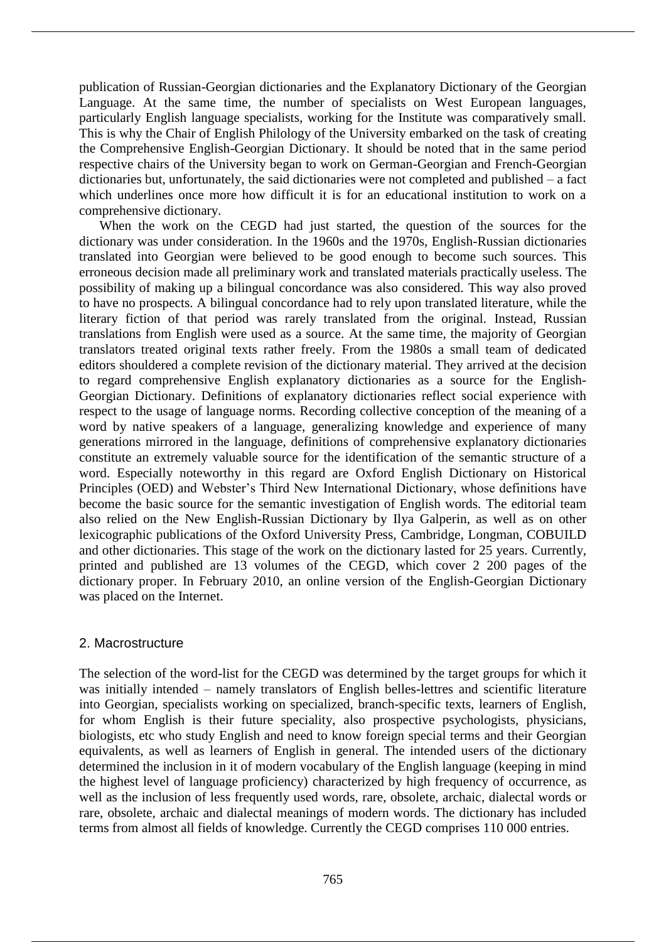publication of Russian-Georgian dictionaries and the Explanatory Dictionary of the Georgian Language. At the same time, the number of specialists on West European languages, particularly English language specialists, working for the Institute was comparatively small. This is why the Chair of English Philology of the University embarked on the task of creating the Comprehensive English-Georgian Dictionary. It should be noted that in the same period respective chairs of the University began to work on German-Georgian and French-Georgian dictionaries but, unfortunately, the said dictionaries were not completed and published – a fact which underlines once more how difficult it is for an educational institution to work on a comprehensive dictionary.

When the work on the CEGD had just started, the question of the sources for the dictionary was under consideration. In the 1960s and the 1970s, English-Russian dictionaries translated into Georgian were believed to be good enough to become such sources. This erroneous decision made all preliminary work and translated materials practically useless. The possibility of making up a bilingual concordance was also considered. This way also proved to have no prospects. A bilingual concordance had to rely upon translated literature, while the literary fiction of that period was rarely translated from the original. Instead, Russian translations from English were used as a source. At the same time, the majority of Georgian translators treated original texts rather freely. From the 1980s a small team of dedicated editors shouldered a complete revision of the dictionary material. They arrived at the decision to regard comprehensive English explanatory dictionaries as a source for the English-Georgian Dictionary. Definitions of explanatory dictionaries reflect social experience with respect to the usage of language norms. Recording collective conception of the meaning of a word by native speakers of a language, generalizing knowledge and experience of many generations mirrored in the language, definitions of comprehensive explanatory dictionaries constitute an extremely valuable source for the identification of the semantic structure of a word. Especially noteworthy in this regard are Oxford English Dictionary on Historical Principles (OED) and Webster's Third New International Dictionary, whose definitions have become the basic source for the semantic investigation of English words. The editorial team also relied on the New English-Russian Dictionary by Ilya Galperin, as well as on other lexicographic publications of the Oxford University Press, Cambridge, Longman, COBUILD and other dictionaries. This stage of the work on the dictionary lasted for 25 years. Currently, printed and published are 13 volumes of the CEGD, which cover 2 200 pages of the dictionary proper. In February 2010, an online version of the English-Georgian Dictionary was placed on the Internet.

# 2. Macrostructure

The selection of the word-list for the CEGD was determined by the target groups for which it was initially intended – namely translators of English belles-lettres and scientific literature into Georgian, specialists working on specialized, branch-specific texts, learners of English, for whom English is their future speciality, also prospective psychologists, physicians, biologists, etc who study English and need to know foreign special terms and their Georgian equivalents, as well as learners of English in general. The intended users of the dictionary determined the inclusion in it of modern vocabulary of the English language (keeping in mind the highest level of language proficiency) characterized by high frequency of occurrence, as well as the inclusion of less frequently used words, rare, obsolete, archaic, dialectal words or rare, obsolete, archaic and dialectal meanings of modern words. The dictionary has included terms from almost all fields of knowledge. Currently the CEGD comprises 110 000 entries.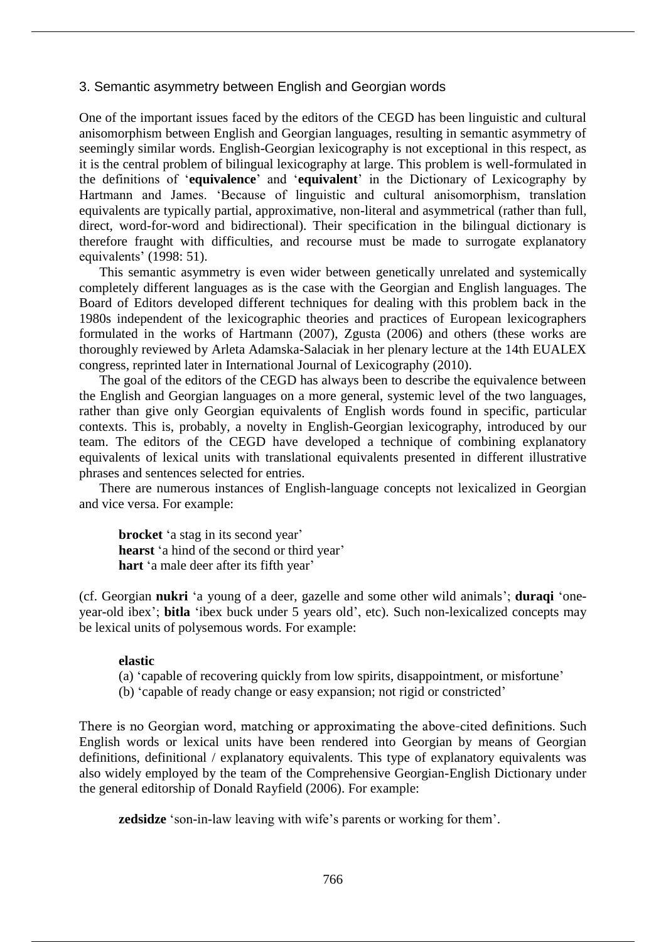# 3. Semantic asymmetry between English and Georgian words

One of the important issues faced by the editors of the CEGD has been linguistic and cultural anisomorphism between English and Georgian languages, resulting in semantic asymmetry of seemingly similar words. English-Georgian lexicography is not exceptional in this respect, as it is the central problem of bilingual lexicography at large. This problem is well-formulated in the definitions of '**equivalence**' and '**equivalent**' in the Dictionary of Lexicography by Hartmann and James. 'Because of linguistic and cultural anisomorphism, translation equivalents are typically partial, approximative, non-literal and asymmetrical (rather than full, direct, word-for-word and bidirectional). Their specification in the bilingual dictionary is therefore fraught with difficulties, and recourse must be made to surrogate explanatory equivalents' (1998: 51).

This semantic asymmetry is even wider between genetically unrelated and systemically completely different languages as is the case with the Georgian and English languages. The Board of Editors developed different techniques for dealing with this problem back in the 1980s independent of the lexicographic theories and practices of European lexicographers formulated in the works of Hartmann (2007), Zgusta (2006) and others (these works are thoroughly reviewed by Arleta Adamska-Salaciak in her plenary lecture at the 14th EUALEX congress, reprinted later in International Journal of Lexicography (2010).

The goal of the editors of the CEGD has always been to describe the equivalence between the English and Georgian languages on a more general, systemic level of the two languages, rather than give only Georgian equivalents of English words found in specific, particular contexts. This is, probably, a novelty in English-Georgian lexicography, introduced by our team. The editors of the CEGD have developed a technique of combining explanatory equivalents of lexical units with translational equivalents presented in different illustrative phrases and sentences selected for entries.

There are numerous instances of English-language concepts not lexicalized in Georgian and vice versa. For example:

**brocket** 'a stag in its second year' **hearst** 'a hind of the second or third year' **hart** 'a male deer after its fifth year'

(cf. Georgian **nukri** 'a young of a deer, gazelle and some other wild animals'; **duraqi** 'oneyear-old ibex'; **bitla** 'ibex buck under 5 years old', etc). Such non-lexicalized concepts may be lexical units of polysemous words. For example:

#### **elastic**

- (a) 'capable of recovering quickly from low spirits, disappointment, or misfortune'
- (b) 'capable of ready change or easy expansion; not rigid or constricted'

There is no Georgian word, matching or approximating the above-cited definitions. Such English words or lexical units have been rendered into Georgian by means of Georgian definitions, definitional / explanatory equivalents. This type of explanatory equivalents was also widely employed by the team of the Comprehensive Georgian-English Dictionary under the general editorship of Donald Rayfield (2006). For example:

**zedsidze** 'son-in-law leaving with wife's parents or working for them'.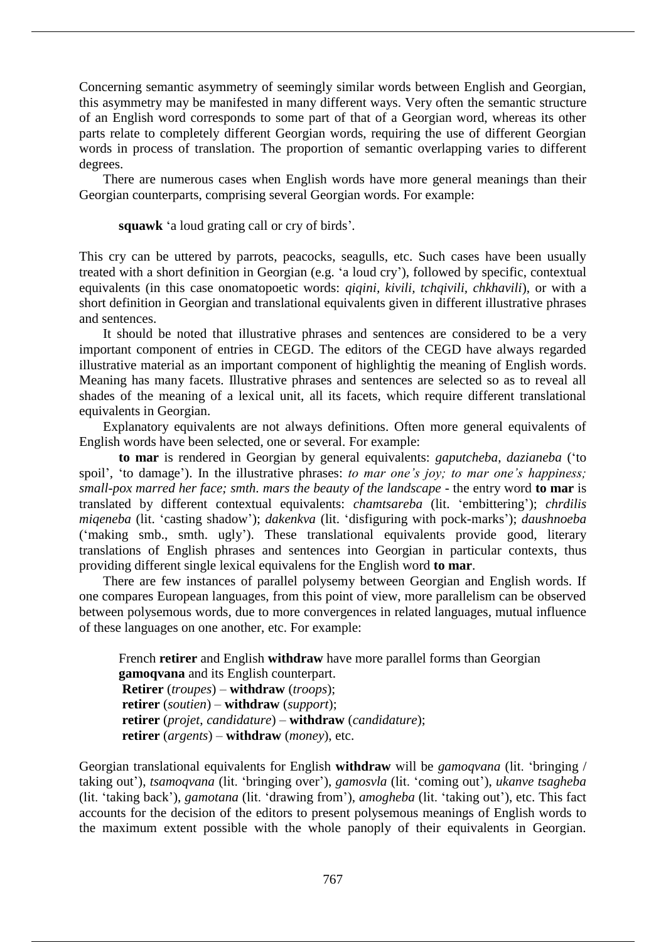Concerning semantic asymmetry of seemingly similar words between English and Georgian, this asymmetry may be manifested in many different ways. Very often the semantic structure of an English word corresponds to some part of that of a Georgian word, whereas its other parts relate to completely different Georgian words, requiring the use of different Georgian words in process of translation. The proportion of semantic overlapping varies to different degrees.

There are numerous cases when English words have more general meanings than their Georgian counterparts, comprising several Georgian words. For example:

**squawk** 'a loud grating call or cry of birds'*.*

This cry can be uttered by parrots, peacocks, seagulls, etc. Such cases have been usually treated with a short definition in Georgian (e.g. 'a loud cry'), followed by specific, contextual equivalents (in this case onomatopoetic words: *qiqini, kivili, tchqivili, chkhavili*), or with a short definition in Georgian and translational equivalents given in different illustrative phrases and sentences.

It should be noted that illustrative phrases and sentences are considered to be a very important component of entries in CEGD. The editors of the CEGD have always regarded illustrative material as an important component of highlightig the meaning of English words. Meaning has many facets. Illustrative phrases and sentences are selected so as to reveal all shades of the meaning of a lexical unit, all its facets, which require different translational equivalents in Georgian.

Explanatory equivalents are not always definitions. Often more general equivalents of English words have been selected, one or several. For example:

**to mar** is rendered in Georgian by general equivalents: *gaputcheba*, *dazianeba* ('to spoil', 'to damage'). In the illustrative phrases: *to mar one's joy; to mar one's happiness; small-pox marred her face; smth. mars the beauty of the landscape* - the entry word **to mar** is translated by different contextual equivalents: *chamtsareba* (lit. 'embittering'); *chrdilis miqeneba* (lit. 'casting shadow'); *dakenkva* (lit. 'disfiguring with pock-marks'); *daushnoeba* ('making smb., smth. ugly'). These translational equivalents provide good, literary translations of English phrases and sentences into Georgian in particular contexts, thus providing different single lexical equivalens for the English word **to mar**.

There are few instances of parallel polysemy between Georgian and English words. If one compares European languages, from this point of view, more parallelism can be observed between polysemous words, due to more convergences in related languages, mutual influence of these languages on one another, etc. For example:

French **retirer** and English **withdraw** have more parallel forms than Georgian **gamoqvana** and its English counterpart. **Retirer** (*troupes*) – **withdraw** (*troops*); **retirer** (*soutien*) – **withdraw** (*support*); **retirer** (*projet*, *candidature*) – **withdraw** (*candidature*); **retirer** (*argents*) – **withdraw** (*money*), etc.

Georgian translational equivalents for English **withdraw** will be *gamoqvana* (lit. 'bringing / taking out'), *tsamoqvana* (lit. 'bringing over'), *gamosvla* (lit. 'coming out'), *ukanve tsagheba* (lit. 'taking back'), *gamotana* (lit. 'drawing from'), *amogheba* (lit. 'taking out'), etc. This fact accounts for the decision of the editors to present polysemous meanings of English words to the maximum extent possible with the whole panoply of their equivalents in Georgian.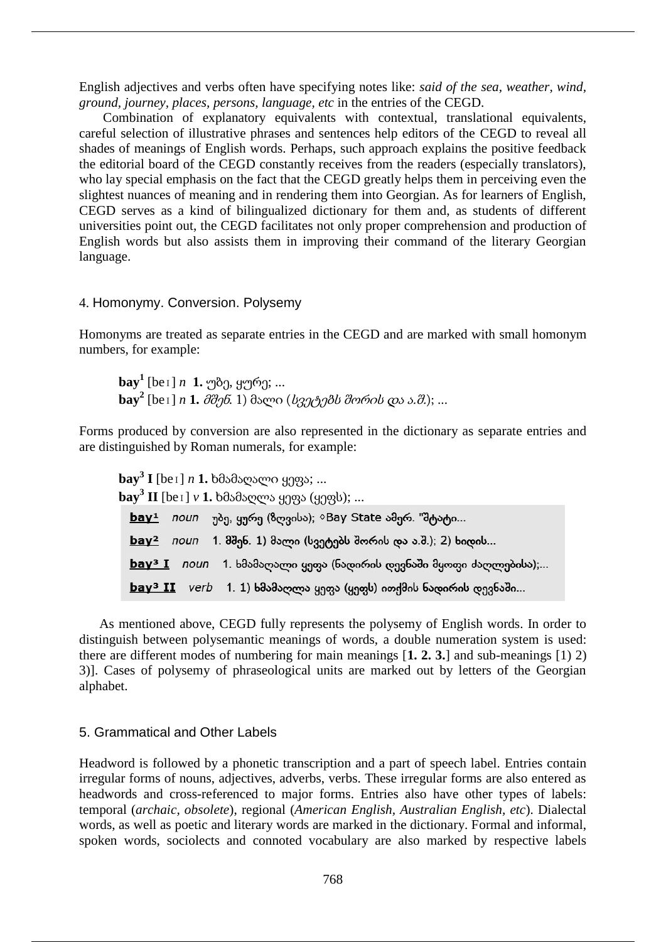English adjectives and verbs often have specifying notes like: *said of the sea, weather, wind, ground, journey, places, persons, language, etc* in the entries of the CEGD.

Combination of explanatory equivalents with contextual, translational equivalents, careful selection of illustrative phrases and sentences help editors of the CEGD to reveal all shades of meanings of English words. Perhaps, such approach explains the positive feedback the editorial board of the CEGD constantly receives from the readers (especially translators), who lay special emphasis on the fact that the CEGD greatly helps them in perceiving even the slightest nuances of meaning and in rendering them into Georgian. As for learners of English, CEGD serves as a kind of bilingualized dictionary for them and, as students of different universities point out, the CEGD facilitates not only proper comprehension and production of English words but also assists them in improving their command of the literary Georgian language.

# 4. Homonymy. Conversion. Polysemy

Homonyms are treated as separate entries in the CEGD and are marked with small homonym numbers, for example:

**bay<sup>1</sup>** [beɪ] *n* **1.** უბე, ყურე; ... **bay<sup>2</sup>** [beɪ] *n* **1.** მშენ*.* 1) მალი (სვეტებს შორის და ა.შ.); ...

Forms produced by conversion are also represented in the dictionary as separate entries and are distinguished by Roman numerals, for example:

**bay<sup>3</sup> I** [beɪ] *n* **1.** ხმამაღალი ყეფა; ... **bay<sup>3</sup> II** [beɪ] *v* **1.** ხმამაღლა ყეფა (ყეფს); ... <u>bay<sup>1</sup> noun</u> უბე, ყურე (ზღვისა); ◇Bay State ამერ. "შტატი... <u>bay<sup>2</sup></u> noun 1. მშენ. 1) მალი (სვეტებს შორის და ა.შ.); 2) ხიდის...  $\underline{bay}^3 I$  noun 1. ხმამაღალი ყეფა (ნადირის დევნაში მყოფი ძაღლებისა);...  $bay<sup>3</sup> II$  verb 1. 1) ხმამაღლა ყეფა (ყეფს) ითქმის ნადირის დევნაში...

As mentioned above, CEGD fully represents the polysemy of English words. In order to distinguish between polysemantic meanings of words, a double numeration system is used: there are different modes of numbering for main meanings [**1. 2. 3.**] and sub-meanings [1) 2) 3)]. Cases of polysemy of phraseological units are marked out by letters of the Georgian alphabet.

#### 5. Grammatical and Other Labels

Headword is followed by a phonetic transcription and a part of speech label. Entries contain irregular forms of nouns, adjectives, adverbs, verbs. These irregular forms are also entered as headwords and cross-referenced to major forms. Entries also have other types of labels: temporal (*archaic, obsolete*), regional (*American English, Australian English, etc*). Dialectal words, as well as poetic and literary words are marked in the dictionary. Formal and informal, spoken words, sociolects and connoted vocabulary are also marked by respective labels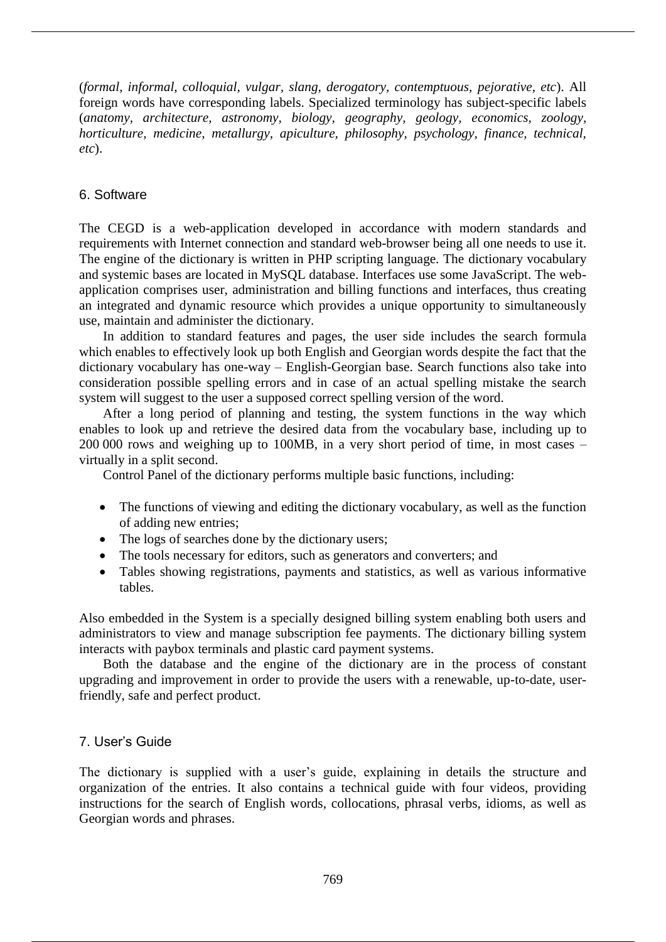(*formal, informal, colloquial, vulgar, slang, derogatory, contemptuous, pejorative, etc*). All foreign words have corresponding labels. Specialized terminology has subject-specific labels (*anatomy, architecture, astronomy, biology, geography, geology, economics, zoology, horticulture, medicine, metallurgy, apiculture, philosophy, psychology, finance, technical, etc*).

# 6. Software

The CEGD is a web-application developed in accordance with modern standards and requirements with Internet connection and standard web-browser being all one needs to use it. The engine of the dictionary is written in PHP scripting language. The dictionary vocabulary and systemic bases are located in MySQL database. Interfaces use some JavaScript. The webapplication comprises user, administration and billing functions and interfaces, thus creating an integrated and dynamic resource which provides a unique opportunity to simultaneously use, maintain and administer the dictionary.

In addition to standard features and pages, the user side includes the search formula which enables to effectively look up both English and Georgian words despite the fact that the dictionary vocabulary has one-way – English-Georgian base. Search functions also take into consideration possible spelling errors and in case of an actual spelling mistake the search system will suggest to the user a supposed correct spelling version of the word.

After a long period of planning and testing, the system functions in the way which enables to look up and retrieve the desired data from the vocabulary base, including up to 200 000 rows and weighing up to 100MB, in a very short period of time, in most cases – virtually in a split second.

Control Panel of the dictionary performs multiple basic functions, including:

- The functions of viewing and editing the dictionary vocabulary, as well as the function of adding new entries;
- The logs of searches done by the dictionary users;
- The tools necessary for editors, such as generators and converters; and
- Tables showing registrations, payments and statistics, as well as various informative tables.

Also embedded in the System is a specially designed billing system enabling both users and administrators to view and manage subscription fee payments. The dictionary billing system interacts with paybox terminals and plastic card payment systems.

Both the database and the engine of the dictionary are in the process of constant upgrading and improvement in order to provide the users with a renewable, up-to-date, userfriendly, safe and perfect product.

# 7. User's Guide

The dictionary is supplied with a user's guide, explaining in details the structure and organization of the entries. It also contains a technical guide with four videos, providing instructions for the search of English words, collocations, phrasal verbs, idioms, as well as Georgian words and phrases.